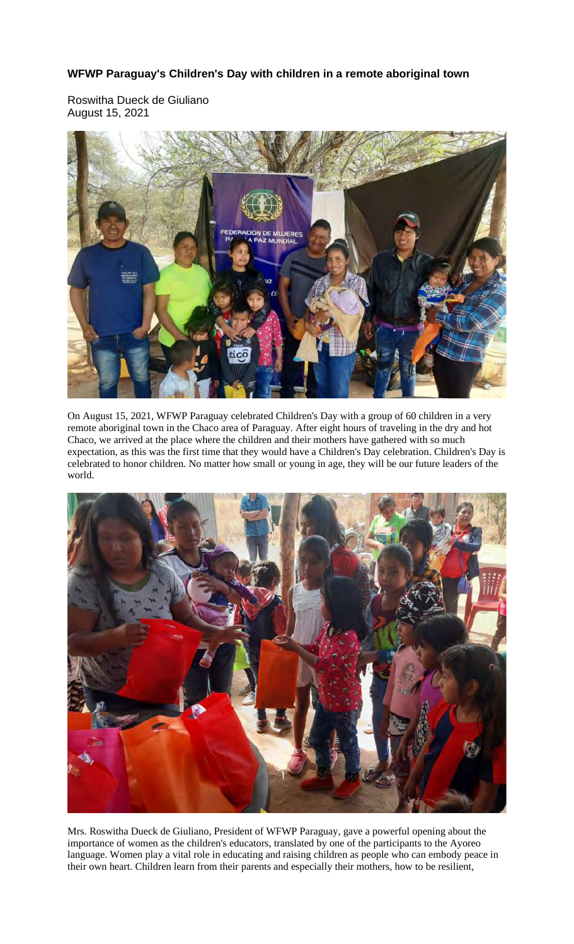## **WFWP Paraguay's Children's Day with children in a remote aboriginal town**

Roswitha Dueck de Giuliano August 15, 2021



On August 15, 2021, WFWP Paraguay celebrated Children's Day with a group of 60 children in a very remote aboriginal town in the Chaco area of Paraguay. After eight hours of traveling in the dry and hot Chaco, we arrived at the place where the children and their mothers have gathered with so much expectation, as this was the first time that they would have a Children's Day celebration. Children's Day is celebrated to honor children. No matter how small or young in age, they will be our future leaders of the world.



Mrs. Roswitha Dueck de Giuliano, President of WFWP Paraguay, gave a powerful opening about the importance of women as the children's educators, translated by one of the participants to the Ayoreo language. Women play a vital role in educating and raising children as people who can embody peace in their own heart. Children learn from their parents and especially their mothers, how to be resilient,